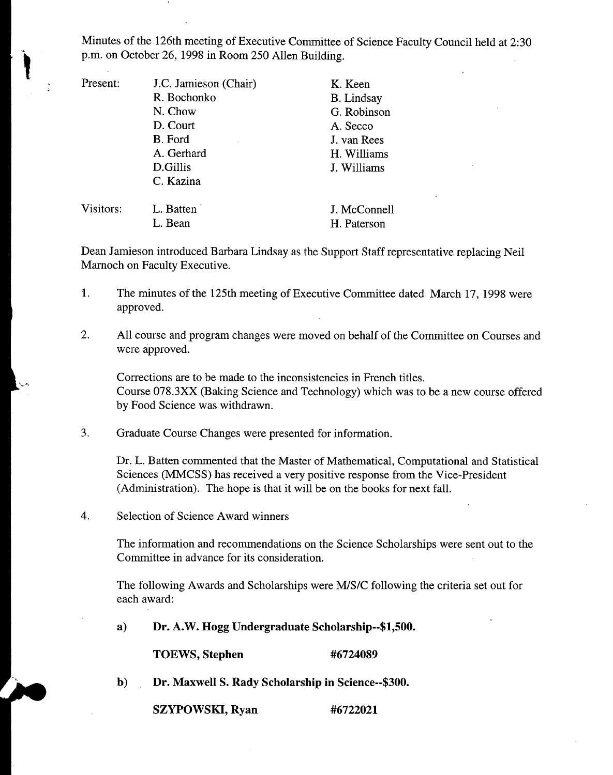Minutes of the 126th meeting of Executive Committee of Science Faculty Council held at 2:30 p.m. on October 26, 1998 in Room *250* Allen Building.

Present: J.C. Jamieson (Chair) K. Keen R. Bochonko B. Lindsay N. Chow G. Robinson D. Court A. Secco B. Ford J. van Rees A. Gerhard H. Williams D.Gillis J. Williams C. Kazina

Visitors: L. Batten J. McConnell

L. Bean H. Paterson

Dean Jamieson introduced Barbara Lindsay as the Support Staff representative replacing Neil Marnoch on Faculty Executive.

- 1. The minutes of the 125th meeting of Executive Committee dated March 17, 1998 were approved.
- 2. All course and program changes were moved on behalf of the Committee on Courses and were approved.

Corrections are to be made to the inconsistencies in French titles. Course 078.3XX (Baking Science and Technology) which was to be a new course offered by Food Science was withdrawn.

3. Graduate Course Changes were presented for information.

> Dr. L. Batten commented that the Master of Mathematical, Computational and Statistical Sciences (MMCSS) has received a very positive response from the Vice-President (Administration). The hope is that it will be on the books for next fall.

 $\overline{4}$ . Selection of Science Award winners

> The information and recommendations on the Science Scholarships were sent out to the Committee in advance for its consideration.

The following Awards and Scholarships were M/S/C following the criteria set out for each award:

**a) Dr. A.W. Hogg Undergraduate Scholarship--\$1,500.** 

**TOEWS, Stephen #6724089** 

 $\mathbf{b}$ **Dr. Maxwell S. Rady Scholarship in Science--\$300.** 

**SZYPOWSKI, Ryan #6722021**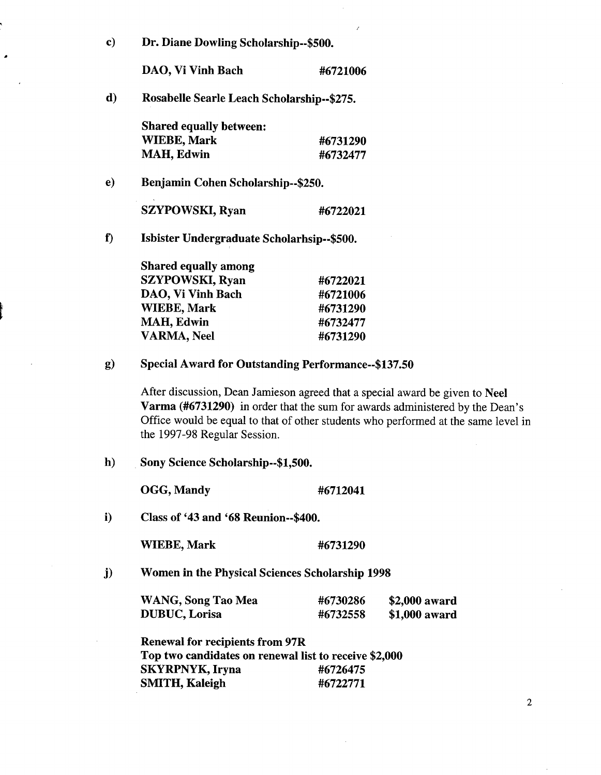| c)  | Dr. Diane Dowling Scholarship--\$500.      |          |  |
|-----|--------------------------------------------|----------|--|
|     | DAO, Vi Vinh Bach                          | #6721006 |  |
| d)  | Rosabelle Searle Leach Scholarship--\$275. |          |  |
|     | <b>Shared equally between:</b>             |          |  |
|     | <b>WIEBE, Mark</b>                         | #6731290 |  |
|     | <b>MAH, Edwin</b>                          | #6732477 |  |
| e). | Benjamin Cohen Scholarship--\$250.         |          |  |
|     | <b>SZYPOWSKI, Ryan</b>                     | #6722021 |  |
| f)  | Isbister Undergraduate Scholarhsip--\$500. |          |  |
|     | <b>Shared equally among</b>                |          |  |
|     | <b>SZYPOWSKI, Ryan</b>                     | #6722021 |  |
|     | DAO, Vi Vinh Bach                          | #6721006 |  |
|     | <b>WIEBE, Mark</b>                         | #6731290 |  |
|     | <b>MAH, Edwin</b>                          | #6732477 |  |
|     | <b>VARMA, Neel</b>                         | #6731290 |  |

**Special Award for Outstanding Performance--\$137.50**   $g)$ 

> **After discussion, Dean Jamieson agreed that a special award be given to Neel Varma (#6731290) in order that the sum for awards administered by the Dean's Office would be equal to that of other students who performed at the same level in the 1997-98 Regular Session.**

 $h)$ **Sony Science Scholarship--\$1,500.** 

**OGG, Mandy #6712041** 

i) **Class of '43 and '68 Reunion--\$400.** 

**WIEBE, Mark #6731290** 

 $\mathbf{j}$ **Women in the Physical Sciences Scholarship 1998** 

| <b>WANG, Song Tao Mea</b> | #6730286 | \$2,000 award |
|---------------------------|----------|---------------|
| <b>DUBUC, Lorisa</b>      | #6732558 | \$1,000 award |

**Renewal for recipients from 97R Top two candidates on renewal list to receive \$2,000 SKYRPNYK, Iryna #6726475 SMITH, Kaleigh #6722771**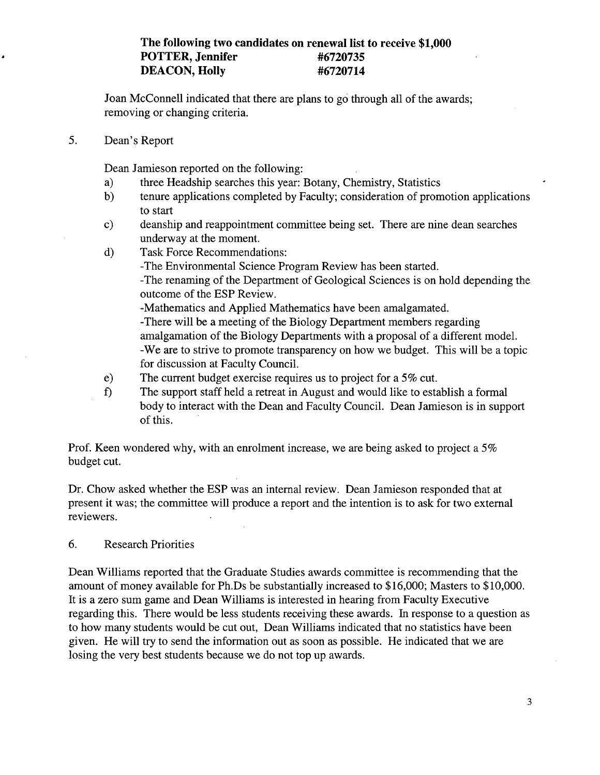## **The following two candidates on renewal list to receive \$1,000 POTTER, Jennifer #6720735 DEACON, Holly #6720714**

Joan McConnell indicated that there are plans to go through all of the awards; removing or changing criteria.

*5.* Dean's Report

Dean Jamieson reported on the following:

- $a)$ three Headship searches this year: Botany, Chemistry, Statistics
- b) tenure applications completed by Faculty; consideration of promotion applications to start
- $c)$ deanship and reappointment committee being set. There are nine dean searches underway at the moment.
- $\mathbf{d}$ Task Force Recommendations:
	- -The Environmental Science Program Review has been started.
		- -The renaming of the Department of Geological Sciences is on hold depending the outcome of the ESP Review.

-Mathematics and Applied Mathematics have been amalgamated. -There will be a meeting of the Biology Department members regarding amalgamation of the Biology Departments with a proposal of a different model. -We are to strive to promote transparency on how we budget. This will be a topic for discussion at Faculty Council.

- The current budget exercise requires us to project for a *5%* cut.  $e)$
- $f$ The support staff held a retreat in August and would like to establish a formal body to interact with the Dean and Faculty Council. Dean Jamieson is in support of this.

Prof. Keen wondered why, with an enrolment increase, we are being asked to project a *5%*  budget cut.

Dr. Chow asked whether the ESP was an internal review. Dean Jamieson responded that at present it was; the committee will produce a report and the intention is to ask for two external reviewers.

6. Research Priorities

Dean Williams reported that the Graduate Studies awards committee is recommending that the amount of money available for Ph.Ds be substantially increased to \$16,000; Masters to \$10,000. It is a zero sum game and Dean Williams is interested in hearing from Faculty Executive regarding this. There would be less students receiving these awards. In response to a question as to how many students would be cut out, Dean Williams indicated that no statistics have been given. He will try to send the information out as soon as possible. He indicated that we are losing the very best students because we do not top up awards.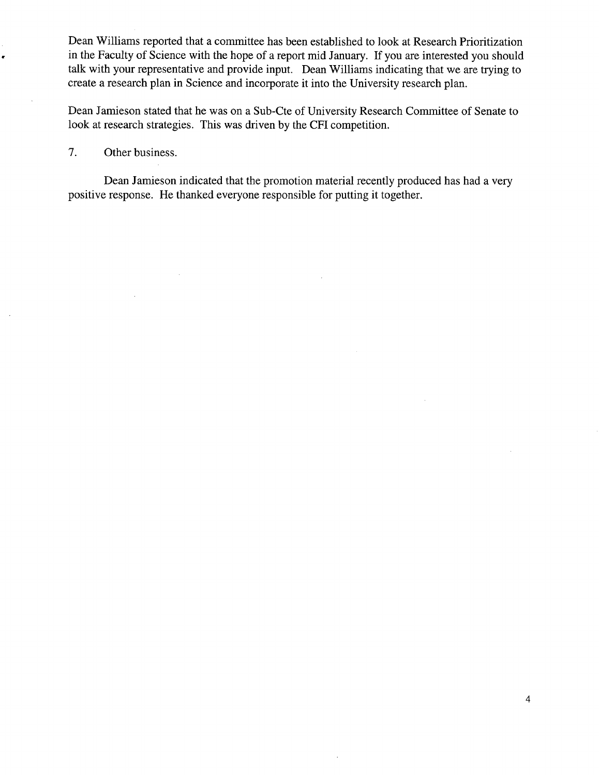Dean Williams reported that a committee has been established to look at Research Prioritization in the Faculty of Science with the hope of a report mid January. if you are interested you should talk with your representative and provide input. Dean Williams indicating that we are trying to create a research plan in Science and incorporate it into the University research plan.

Dean Jamieson stated that he was on a Sub-Cte of University Research Committee of Senate to look at research strategies. This was driven by the CFI competition.

7. Other business.

Dean Jamieson indicated that the promotion material recently produced has had a very positive response. He thanked everyone responsible for putting it together.